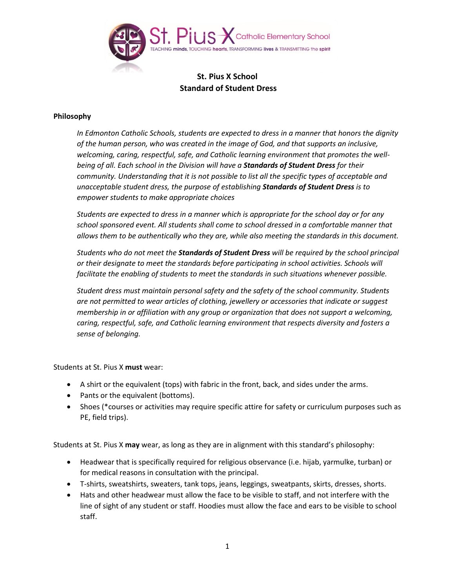

## **St. Pius X School Standard of Student Dress**

## **Philosophy**

*In Edmonton Catholic Schools, students are expected to dress in a manner that honors the dignity of the human person, who was created in the image of God, and that supports an inclusive, welcoming, caring, respectful, safe, and Catholic learning environment that promotes the wellbeing of all. Each school in the Division will have a Standards of Student Dress for their community. Understanding that it is not possible to list all the specific types of acceptable and unacceptable student dress, the purpose of establishing Standards of Student Dress is to empower students to make appropriate choices*

*Students are expected to dress in a manner which is appropriate for the school day or for any school sponsored event. All students shall come to school dressed in a comfortable manner that allows them to be authentically who they are, while also meeting the standards in this document.*

*Students who do not meet the Standards of Student Dress will be required by the school principal or their designate to meet the standards before participating in school activities. Schools will facilitate the enabling of students to meet the standards in such situations whenever possible.*

*Student dress must maintain personal safety and the safety of the school community. Students are not permitted to wear articles of clothing, jewellery or accessories that indicate or suggest membership in or affiliation with any group or organization that does not support a welcoming, caring, respectful, safe, and Catholic learning environment that respects diversity and fosters a sense of belonging.* 

Students at St. Pius X **must** wear:

- A shirt or the equivalent (tops) with fabric in the front, back, and sides under the arms.
- Pants or the equivalent (bottoms).
- Shoes (\*courses or activities may require specific attire for safety or curriculum purposes such as PE, field trips).

Students at St. Pius X **may** wear, as long as they are in alignment with this standard's philosophy:

- Headwear that is specifically required for religious observance (i.e. hijab, yarmulke, turban) or for medical reasons in consultation with the principal.
- T-shirts, sweatshirts, sweaters, tank tops, jeans, leggings, sweatpants, skirts, dresses, shorts.
- Hats and other headwear must allow the face to be visible to staff, and not interfere with the line of sight of any student or staff. Hoodies must allow the face and ears to be visible to school staff.